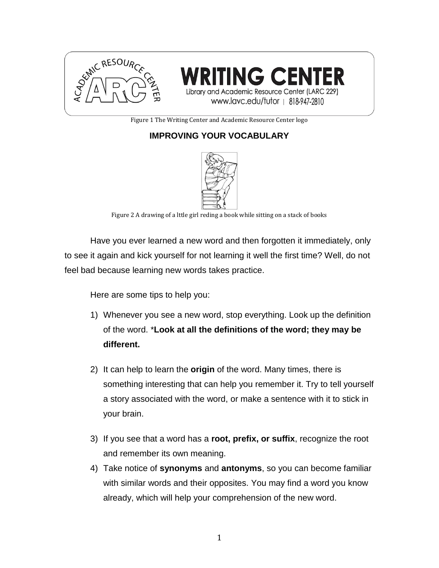



Figure 1 The Writing Center and Academic Resource Center logo

## **IMPROVING YOUR VOCABULARY**



Figure 2 A drawing of a lttle girl reding a book while sitting on a stack of books

Have you ever learned a new word and then forgotten it immediately, only to see it again and kick yourself for not learning it well the first time? Well, do not feel bad because learning new words takes practice.

Here are some tips to help you:

- 1) Whenever you see a new word, stop everything. Look up the definition of the word. \***Look at all the definitions of the word; they may be different.**
- 2) It can help to learn the **origin** of the word. Many times, there is something interesting that can help you remember it. Try to tell yourself a story associated with the word, or make a sentence with it to stick in your brain.
- 3) If you see that a word has a **root, prefix, or suffix**, recognize the root and remember its own meaning.
- 4) Take notice of **synonyms** and **antonyms**, so you can become familiar with similar words and their opposites. You may find a word you know already, which will help your comprehension of the new word.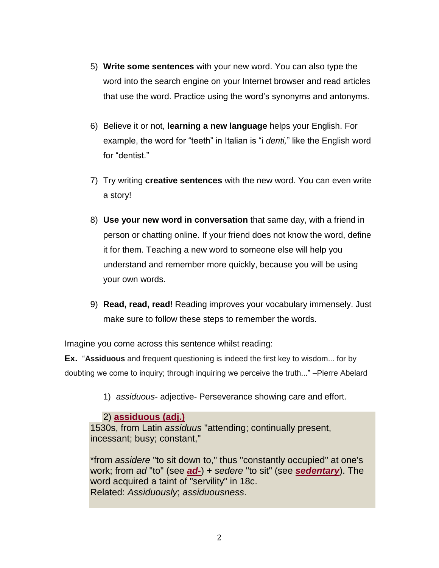- 5) **Write some sentences** with your new word. You can also type the word into the search engine on your Internet browser and read articles that use the word. Practice using the word's synonyms and antonyms.
- 6) Believe it or not, **learning a new language** helps your English. For example, the word for "teeth" in Italian is "i *denti,*" like the English word for "dentist."
- 7) Try writing **creative sentences** with the new word. You can even write a story!
- 8) **Use your new word in conversation** that same day, with a friend in person or chatting online. If your friend does not know the word, define it for them. Teaching a new word to someone else will help you understand and remember more quickly, because you will be using your own words.
- 9) **Read, read, read**! Reading improves your vocabulary immensely. Just make sure to follow these steps to remember the words.

Imagine you come across this sentence whilst reading:

**Ex.** "**Assiduous** and frequent questioning is indeed the first key to wisdom... for by doubting we come to inquiry; through inquiring we perceive the truth..." –Pierre Abelard

1) *assiduous*- adjective- Perseverance showing care and effort.

## 2) **[assiduous \(adj.\)](http://www.etymonline.com/index.php?term=assiduous&allowed_in_frame=0)**

1530s, from Latin *assiduus* "attending; continually present, incessant; busy; constant,"

\*from *assidere* "to sit down to," thus "constantly occupied" at one's work; from *ad* "to" (see *[ad-](http://www.etymonline.com/index.php?term=ad-&allowed_in_frame=0)*) + *sedere* "to sit" (see *[sedentary](http://www.etymonline.com/index.php?term=sedentary&allowed_in_frame=0)*). The word acquired a taint of "servility" in 18c. Related: *Assiduously*; *assiduousness*.